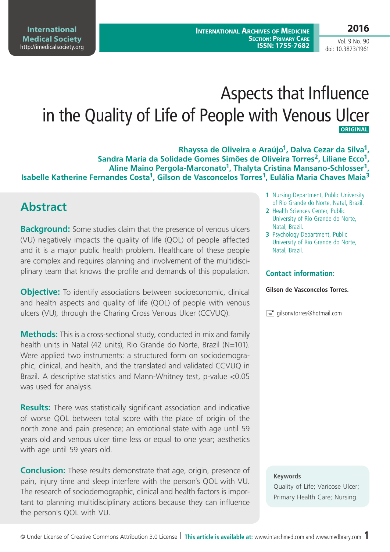Vol. 9 No. 90 doi: 10.3823/1961

# Aspects that Influence in the Quality of Life of People with Venous Ulcer  **Original**

**Rhayssa de Oliveira e Araújo1, Dalva Cezar da Silva1, Sandra Maria da Solidade Gomes Simões de Oliveira Torres2, Liliane Ecco1, Aline Maino Pergola-Marconato1, Thalyta Cristina Mansano-Schlosser1, Isabelle Katherine Fernandes Costa1, Gilson de Vasconcelos Torres1, Eulália Maria Chaves Maia3**

### **Abstract**

**Background:** Some studies claim that the presence of venous ulcers (VU) negatively impacts the quality of life (QOL) of people affected and it is a major public health problem. Healthcare of these people are complex and requires planning and involvement of the multidisciplinary team that knows the profile and demands of this population.

**Objective:** To identify associations between socioeconomic, clinical and health aspects and quality of life (QOL) of people with venous ulcers (VU), through the Charing Cross Venous Ulcer (CCVUQ).

**Methods:** This is a cross-sectional study, conducted in mix and family health units in Natal (42 units), Rio Grande do Norte, Brazil (N=101). Were applied two instruments: a structured form on sociodemographic, clinical, and health, and the translated and validated CCVUQ in Brazil. A descriptive statistics and Mann-Whitney test, p-value <0.05 was used for analysis.

**Results:** There was statistically significant association and indicative of worse QOL between total score with the place of origin of the north zone and pain presence; an emotional state with age until 59 years old and venous ulcer time less or equal to one year; aesthetics with age until 59 years old.

**Conclusion:** These results demonstrate that age, origin, presence of pain, injury time and sleep interfere with the person´s QOL with VU. The research of sociodemographic, clinical and health factors is important to planning multidisciplinary actions because they can influence the person's QOL with VU.

- **1** Nursing Department, Public University of Rio Grande do Norte, Natal, Brazil.
- **2** Health Sciences Center, Public University of Rio Grande do Norte, Natal, Brazil.
- **3** Psychology Department, Public University of Rio Grande do Norte, Natal, Brazil.

#### **Contact information:**

#### **Gilson de Vasconcelos Torres.**

 $\equiv$  qilsonvtorres@hotmail.com

#### **Keywords**

Quality of Life; Varicose Ulcer; Primary Health Care; Nursing.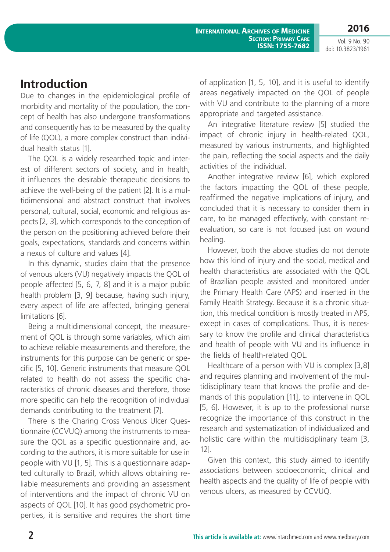**International Archives of Medicine Section: Primary Care ISSN: 1755-7682**

Vol. 9 No. 90 doi: 10.3823/1961

### **Introduction**

Due to changes in the epidemiological profile of morbidity and mortality of the population, the concept of health has also undergone transformations and consequently has to be measured by the quality of life (QOL), a more complex construct than individual health status [1].

The QOL is a widely researched topic and interest of different sectors of society, and in health, it influences the desirable therapeutic decisions to achieve the well-being of the patient [2]. It is a multidimensional and abstract construct that involves personal, cultural, social, economic and religious aspects [2, 3], which corresponds to the conception of the person on the positioning achieved before their goals, expectations, standards and concerns within a nexus of culture and values [4].

In this dynamic, studies claim that the presence of venous ulcers (VU) negatively impacts the QOL of people affected [5, 6, 7, 8] and it is a major public health problem [3, 9] because, having such injury, every aspect of life are affected, bringing general limitations [6].

Being a multidimensional concept, the measurement of QOL is through some variables, which aim to achieve reliable measurements and therefore, the instruments for this purpose can be generic or specific [5, 10]. Generic instruments that measure QOL related to health do not assess the specific characteristics of chronic diseases and therefore, those more specific can help the recognition of individual demands contributing to the treatment [7].

There is the Charing Cross Venous Ulcer Questionnaire (CCVUQ) among the instruments to measure the QOL as a specific questionnaire and, according to the authors, it is more suitable for use in people with VU [1, 5]. This is a questionnaire adapted culturally to Brazil, which allows obtaining reliable measurements and providing an assessment of interventions and the impact of chronic VU on aspects of QOL [10]. It has good psychometric properties, it is sensitive and requires the short time of application [1, 5, 10], and it is useful to identify areas negatively impacted on the QOL of people with VU and contribute to the planning of a more appropriate and targeted assistance.

An integrative literature review [5] studied the impact of chronic injury in health-related QOL, measured by various instruments, and highlighted the pain, reflecting the social aspects and the daily activities of the individual.

Another integrative review [6], which explored the factors impacting the QOL of these people, reaffirmed the negative implications of injury, and concluded that it is necessary to consider them in care, to be managed effectively, with constant reevaluation, so care is not focused just on wound healing.

However, both the above studies do not denote how this kind of injury and the social, medical and health characteristics are associated with the QOL of Brazilian people assisted and monitored under the Primary Health Care (APS) and inserted in the Family Health Strategy. Because it is a chronic situation, this medical condition is mostly treated in APS, except in cases of complications. Thus, it is necessary to know the profile and clinical characteristics and health of people with VU and its influence in the fields of health-related QOL.

Healthcare of a person with VU is complex [3,8] and requires planning and involvement of the multidisciplinary team that knows the profile and demands of this population [11], to intervene in QOL [5, 6]. However, it is up to the professional nurse recognize the importance of this construct in the research and systematization of individualized and holistic care within the multidisciplinary team [3, 12].

Given this context, this study aimed to identify associations between socioeconomic, clinical and health aspects and the quality of life of people with venous ulcers, as measured by CCVUQ.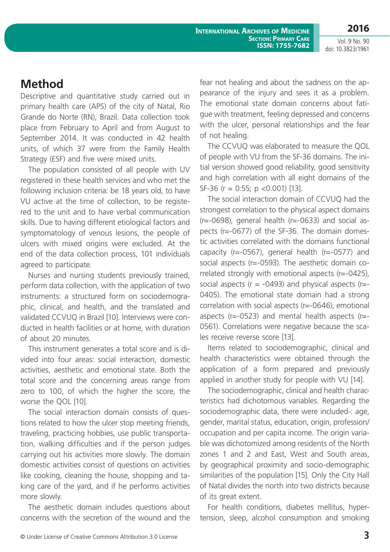**2016** Vol. 9 No. 90

doi: 10.3823/1961

## **Method**

Descriptive and quantitative study carried out in primary health care (APS) of the city of Natal, Rio Grande do Norte (RN), Brazil. Data collection took place from February to April and from August to September 2014. It was conducted in 42 health units, of which 37 were from the Family Health Strategy (ESF) and five were mixed units.

The population consisted of all people with UV registered in these health services and who met the following inclusion criteria: be 18 years old, to have VU active at the time of collection, to be registered to the unit and to have verbal communication skills. Due to having different etiological factors and symptomatology of venous lesions, the people of ulcers with mixed origins were excluded. At the end of the data collection process, 101 individuals agreed to participate.

Nurses and nursing students previously trained, perform data collection, with the application of two instruments: a structured form on sociodemographic, clinical, and health, and the translated and validated CCVUQ in Brazil [10]. Interviews were conducted in health facilities or at home, with duration of about 20 minutes.

This instrument generates a total score and is divided into four areas: social interaction, domestic activities, aesthetic and emotional state. Both the total score and the concerning areas range from zero to 100, of which the higher the score, the worse the QOL [10].

The social interaction domain consists of questions related to how the ulcer stop meeting friends, traveling, practicing hobbies, use public transportation, walking difficulties and if the person judges carrying out his activities more slowly. The domain domestic activities consist of questions on activities like cooking, cleaning the house, shopping and taking care of the yard, and if he performs activities more slowly.

The aesthetic domain includes questions about concerns with the secretion of the wound and the fear not healing and about the sadness on the appearance of the injury and sees it as a problem. The emotional state domain concerns about fatigue with treatment, feeling depressed and concerns with the ulcer, personal relationships and the fear of not healing.

The CCVUQ was elaborated to measure the QOL of people with VU from the SF-36 domains. The initial version showed good reliability, good sensitivity and high correlation with all eight domains of the SF-36 (r = 0:55; p <0.001) [13].

The social interaction domain of CCVUQ had the strongest correlation to the physical aspect domains  $(r=-0698)$ , general health  $(r=-0633)$  and social aspects (r=-0677) of the SF-36. The domain domestic activities correlated with the domains functional capacity (r=-0567), general health (r=-0577) and social aspects (r=-0593). The aesthetic domain correlated strongly with emotional aspects ( $r=-0425$ ), social aspects ( $r = -0493$ ) and physical aspects ( $r = -1$ 0405). The emotional state domain had a strong correlation with social aspects (r=-0646), emotional aspects (r=-0523) and mental health aspects (r=- 0561). Correlations were negative because the scales receive reverse score [13].

Items related to sociodemographic, clinical and health characteristics were obtained through the application of a form prepared and previously applied in another study for people with VU [14].

The sociodemographic, clinical and health characteristics had dichotomous variables. Regarding the sociodemographic data, there were included-: age, gender, marital status, education, origin, profession/ occupation and per capita income. The origin variable was dichotomized among residents of the North zones 1 and 2 and East, West and South areas, by geographical proximity and socio-demographic similarities of the population [15]. Only the City Hall of Natal divides the north into two districts because of its great extent.

For health conditions, diabetes mellitus, hypertension, sleep, alcohol consumption and smoking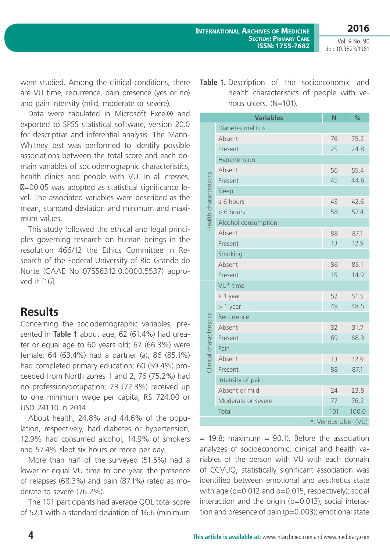Vol. 9 No. 90 doi: 10.3823/1961

were studied. Among the clinical conditions, there are VU time, recurrence, pain presence (yes or no) and pain intensity (mild, moderate or severe).

Data were tabulated in Microsoft Excel® and exported to SPSS statistical software, version 20.0 for descriptive and inferential analysis. The Mann-Whitney test was performed to identify possible associations between the total score and each domain variables of sociodemographic characteristics, health clinics and people with VU. In all crosses,

 $=00:05$  was adopted as statistical significance level. The associated variables were described as the mean, standard deviation and minimum and maximum values.

This study followed the ethical and legal principles governing research on human beings in the resolution 466/12 the Ethics Committee in Research of the Federal University of Rio Grande do Norte (CAAE No 07556312.0.0000.5537) approved it [16].

#### **Results**

Concerning the sociodemographic variables, presented in **Table 1** about age, 62 (61.4%) had greater or equal age to 60 years old; 67 (66.3%) were female; 64 (63.4%) had a partner (a); 86 (85.1%) had completed primary education; 60 (59.4%) proceeded from North zones 1 and 2; 76 (75.2%) had no profession/occupation; 73 (72.3%) received up to one minimum wage per capita, R\$ 724.00 or USD 241.10 in 2014.

About health, 24.8% and 44.6% of the population, respectively, had diabetes or hypertension, 12.9% had consumed alcohol, 14.9% of smokers and 57.4% slept six hours or more per day.

More than half of the surveyed (51.5%) had a lower or equal VU time to one year, the presence of relapses (68.3%) and pain (87.1%) rated as moderate to severe (76.2%).

The 101 participants had average QOL total score of 52.1 with a standard deviation of 16.6 (minimum **Table 1.** Description of the socioeconomic and health characteristics of people with venous ulcers. (N=101).

|                          | <b>Variables</b>    | N   | $\frac{9}{6}$ |  |
|--------------------------|---------------------|-----|---------------|--|
| Health characteristics   | Diabetes mellitus   |     |               |  |
|                          | Absent              | 76  | 75.2          |  |
|                          | Present             | 25  | 24.8          |  |
|                          | Hypertension        |     |               |  |
|                          | Absent              | 56  | 55.4          |  |
|                          | Present             | 45  | 44.6          |  |
|                          | Sleep               |     |               |  |
|                          | $\leq 6$ hours      | 43  | 42.6          |  |
|                          | > 6 hours           | 58  | 57.4          |  |
|                          | Alcohol consumption |     |               |  |
|                          | Absent              | 88  | 87.1          |  |
|                          | Present             | 13  | 12.9          |  |
|                          | Smoking             |     |               |  |
|                          | Absent              | 86  | 85.1          |  |
|                          | Present             | 15  | 14.9          |  |
|                          | VU* time            |     |               |  |
|                          | $\leq 1$ year       | 52  | 51.5          |  |
|                          | $> 1$ year          | 49  | 48.5          |  |
|                          | Recurrence          |     |               |  |
| Clinical characteristics | Absent              | 32  | 31.7          |  |
|                          | Present             | 69  | 68.3          |  |
|                          | Pain                |     |               |  |
|                          | Absent              | 13  | 12.9          |  |
|                          | Present             | 88  | 87.1          |  |
|                          | Intensity of pain   |     |               |  |
|                          | Absent or mild      | 24  | 23.8          |  |
|                          | Moderate or severe  | 77  | 76.2          |  |
|                          | Total               | 101 | 100.0         |  |
| *: Venous Ulcer (VU)     |                     |     |               |  |

 $= 19.8$ ; maximum  $= 90.1$ ). Before the association analyzes of socioeconomic, clinical and health variables of the person with VU with each domain of CCVUQ, statistically significant association was identified between emotional and aesthetics state with age (p=0.012 and p=0.015, respectively); social interaction and the origin ( $p=0.013$ ); social interaction and presence of pain (p=0.003); emotional state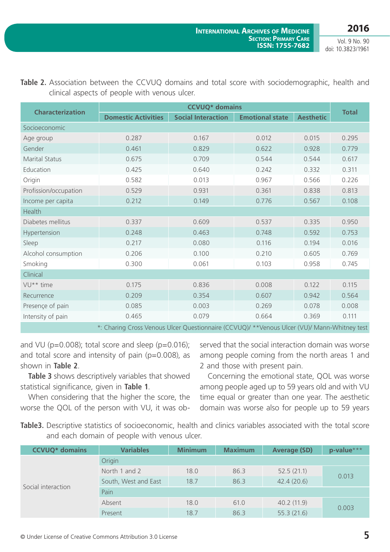**2016** Vol. 9 No. 90

doi: 10.3823/1961

| <b>Characterization</b>                                                                       | <b>CCVUQ*</b> domains      |                           |                        |                  |              |
|-----------------------------------------------------------------------------------------------|----------------------------|---------------------------|------------------------|------------------|--------------|
|                                                                                               | <b>Domestic Activities</b> | <b>Social Interaction</b> | <b>Emotional state</b> | <b>Aesthetic</b> | <b>Total</b> |
| Socioeconomic                                                                                 |                            |                           |                        |                  |              |
| Age group                                                                                     | 0.287                      | 0.167                     | 0.012                  | 0.015            | 0.295        |
| Gender                                                                                        | 0.461                      | 0.829                     | 0.622                  | 0.928            | 0.779        |
| <b>Marital Status</b>                                                                         | 0.675                      | 0.709                     | 0.544                  | 0.544            | 0.617        |
| Education                                                                                     | 0.425                      | 0.640                     | 0.242                  | 0.332            | 0.311        |
| Origin                                                                                        | 0.582                      | 0.013                     | 0.967                  | 0.566            | 0.226        |
| Profission/occupation                                                                         | 0.529                      | 0.931                     | 0.361                  | 0.838            | 0.813        |
| Income per capita                                                                             | 0.212                      | 0.149                     | 0.776                  | 0.567            | 0.108        |
| <b>Health</b>                                                                                 |                            |                           |                        |                  |              |
| Diabetes mellitus                                                                             | 0.337                      | 0.609                     | 0.537                  | 0.335            | 0.950        |
| Hypertension                                                                                  | 0.248                      | 0.463                     | 0.748                  | 0.592            | 0.753        |
| Sleep                                                                                         | 0.217                      | 0.080                     | 0.116                  | 0.194            | 0.016        |
| Alcohol consumption                                                                           | 0.206                      | 0.100                     | 0.210                  | 0.605            | 0.769        |
| Smoking                                                                                       | 0.300                      | 0.061                     | 0.103<br>0.958         |                  | 0.745        |
| Clinical                                                                                      |                            |                           |                        |                  |              |
| VU <sup>**</sup> time                                                                         | 0.175                      | 0.836                     | 0.008                  | 0.122            | 0.115        |
| Recurrence                                                                                    | 0.209                      | 0.354                     | 0.607                  | 0.942            | 0.564        |
| Presençe of pain                                                                              | 0.085                      | 0.003                     | 0.269                  | 0.078            | 0.008        |
| Intensity of pain                                                                             | 0.465                      | 0.079                     | 0.664                  | 0.369            | 0.111        |
| * Charing Cross Vanous Ulcar Questionnaire (CCVUIQ)/ ** Vanous Ulcar (VUI)/ Mann-Whitnow tost |                            |                           |                        |                  |              |

**Table 2.** Association between the CCVUQ domains and total score with sociodemographic, health and clinical aspects of people with venous ulcer.

\*: Charing Cross Venous Ulcer Questionnaire (CCVUQ)/ \*\*Venous Ulcer (VU)/ Mann-Whitney test

and VU ( $p=0.008$ ); total score and sleep ( $p=0.016$ ); and total score and intensity of pain ( $p=0.008$ ), as shown in **Table 2**.

**Table 3** shows descriptively variables that showed statistical significance, given in **Table 1**.

When considering that the higher the score, the worse the QOL of the person with VU, it was observed that the social interaction domain was worse among people coming from the north areas 1 and 2 and those with present pain.

Concerning the emotional state, QOL was worse among people aged up to 59 years old and with VU time equal or greater than one year. The aesthetic domain was worse also for people up to 59 years

**Table3.** Descriptive statistics of socioeconomic, health and clinics variables associated with the total score and each domain of people with venous ulcer.

| <b>CCVUQ*</b> domains | <b>Variables</b>     | <b>Minimum</b> | <b>Maximum</b> | <b>Average (SD)</b> | p-value*** |
|-----------------------|----------------------|----------------|----------------|---------------------|------------|
|                       | Origin               |                |                |                     |            |
|                       | North 1 and 2        | 18.0           | 86.3           | 52.5(21.1)          | 0.013      |
|                       | South, West and East | 18.7           | 86.3           | 42.4(20.6)          |            |
| Social interaction    | Pain                 |                |                |                     |            |
|                       | Absent               | 18.0           | 61.0           | 40.2(11.9)          | 0.003      |
|                       | Present              | 18.7           | 86.3           | 55.3(21.6)          |            |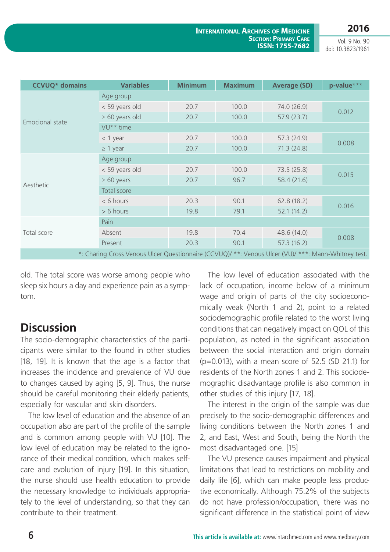Vol. 9 No. 90 doi: 10.3823/1961

| <b>CCVUQ*</b> domains                                                                               | <b>Variables</b>      | <b>Minimum</b> | <b>Maximum</b> | <b>Average (SD)</b> | p-value*** |
|-----------------------------------------------------------------------------------------------------|-----------------------|----------------|----------------|---------------------|------------|
|                                                                                                     | Age group             |                |                |                     |            |
|                                                                                                     | < 59 years old        | 20.7           | 100.0          | 74.0 (26.9)         | 0.012      |
|                                                                                                     | $\geq 60$ years old   | 20.7           | 100.0          | 57.9(23.7)          |            |
| Emocional state                                                                                     | VU <sup>**</sup> time |                |                |                     |            |
|                                                                                                     | $<$ 1 year            | 20.7           | 100.0          | 57.3(24.9)          | 0.008      |
|                                                                                                     | $\geq 1$ year         | 20.7           | 100.0          | 71.3(24.8)          |            |
|                                                                                                     | Age group             |                |                |                     |            |
|                                                                                                     | < 59 years old        | 20.7           | 100.0          | 73.5(25.8)          | 0.015      |
|                                                                                                     | $\geq 60$ years       | 20.7           | 96.7           | 58.4(21.6)          |            |
| Aesthetic                                                                                           | Total score           |                |                |                     |            |
|                                                                                                     | $< 6$ hours           | 20.3           | 90.1           | 62.8(18.2)          | 0.016      |
|                                                                                                     | $> 6$ hours           | 19.8           | 79.1           | 52.1(14.2)          |            |
|                                                                                                     | Pain                  |                |                |                     |            |
| Total score                                                                                         | Absent                | 19.8           | 70.4           | 48.6 (14.0)         | 0.008      |
|                                                                                                     | Present               | 20.3           | 90.1           | 57.3(16.2)          |            |
| *: Charing Cross Venous Ulcer Questionnaire (CCVUQ)/ **: Venous Ulcer (VU)/ ***: Mann-Whitney test. |                       |                |                |                     |            |

old. The total score was worse among people who sleep six hours a day and experience pain as a symptom.

## **Discussion**

The socio-demographic characteristics of the participants were similar to the found in other studies [18, 19]. It is known that the age is a factor that increases the incidence and prevalence of VU due to changes caused by aging [5, 9]. Thus, the nurse should be careful monitoring their elderly patients, especially for vascular and skin disorders.

The low level of education and the absence of an occupation also are part of the profile of the sample and is common among people with VU [10]. The low level of education may be related to the ignorance of their medical condition, which makes selfcare and evolution of injury [19]. In this situation, the nurse should use health education to provide the necessary knowledge to individuals appropriately to the level of understanding, so that they can contribute to their treatment.

The low level of education associated with the lack of occupation, income below of a minimum wage and origin of parts of the city socioeconomically weak (North 1 and 2), point to a related sociodemographic profile related to the worst living conditions that can negatively impact on QOL of this population, as noted in the significant association between the social interaction and origin domain (p=0.013), with a mean score of 52.5 (SD 21.1) for residents of the North zones 1 and 2. This sociodemographic disadvantage profile is also common in other studies of this injury [17, 18].

The interest in the origin of the sample was due precisely to the socio-demographic differences and living conditions between the North zones 1 and 2, and East, West and South, being the North the most disadvantaged one. [15]

The VU presence causes impairment and physical limitations that lead to restrictions on mobility and daily life [6], which can make people less productive economically. Although 75.2% of the subjects do not have profession/occupation, there was no significant difference in the statistical point of view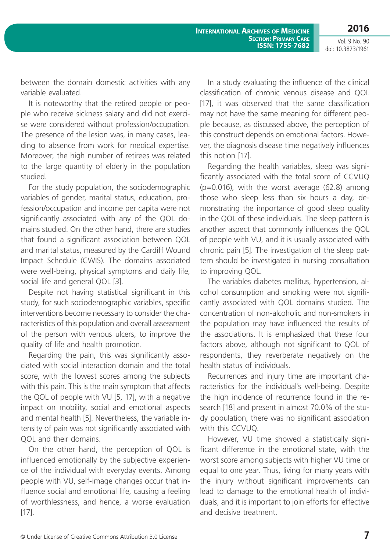**International Archives of Medicine Section: Primary Care ISSN: 1755-7682**

**2016** Vol. 9 No. 90

doi: 10.3823/1961

between the domain domestic activities with any variable evaluated.

It is noteworthy that the retired people or people who receive sickness salary and did not exercise were considered without profession/occupation. The presence of the lesion was, in many cases, leading to absence from work for medical expertise. Moreover, the high number of retirees was related to the large quantity of elderly in the population studied.

For the study population, the sociodemographic variables of gender, marital status, education, profession/occupation and income per capita were not significantly associated with any of the QOL domains studied. On the other hand, there are studies that found a significant association between QOL and marital status, measured by the Cardiff Wound Impact Schedule (CWIS). The domains associated were well-being, physical symptoms and daily life, social life and general QOL [3].

Despite not having statistical significant in this study, for such sociodemographic variables, specific interventions become necessary to consider the characteristics of this population and overall assessment of the person with venous ulcers, to improve the quality of life and health promotion.

Regarding the pain, this was significantly associated with social interaction domain and the total score, with the lowest scores among the subjects with this pain. This is the main symptom that affects the QOL of people with VU [5, 17], with a negative impact on mobility, social and emotional aspects and mental health [5]. Nevertheless, the variable intensity of pain was not significantly associated with QOL and their domains.

On the other hand, the perception of QOL is influenced emotionally by the subjective experience of the individual with everyday events. Among people with VU, self-image changes occur that influence social and emotional life, causing a feeling of worthlessness, and hence, a worse evaluation [17].

In a study evaluating the influence of the clinical classification of chronic venous disease and QOL [17], it was observed that the same classification may not have the same meaning for different people because, as discussed above, the perception of this construct depends on emotional factors. However, the diagnosis disease time negatively influences this notion [17].

Regarding the health variables, sleep was significantly associated with the total score of CCVUQ  $(p=0.016)$ , with the worst average  $(62.8)$  among those who sleep less than six hours a day, demonstrating the importance of good sleep quality in the QOL of these individuals. The sleep pattern is another aspect that commonly influences the QOL of people with VU, and it is usually associated with chronic pain [5]. The investigation of the sleep pattern should be investigated in nursing consultation to improving QOL.

The variables diabetes mellitus, hypertension, alcohol consumption and smoking were not significantly associated with QOL domains studied. The concentration of non-alcoholic and non-smokers in the population may have influenced the results of the associations. It is emphasized that these four factors above, although not significant to QOL of respondents, they reverberate negatively on the health status of individuals.

Recurrences and injury time are important characteristics for the individual´s well-being. Despite the high incidence of recurrence found in the research [18] and present in almost 70.0% of the study population, there was no significant association with this CCVUQ.

However, VU time showed a statistically significant difference in the emotional state, with the worst score among subjects with higher VU time or equal to one year. Thus, living for many years with the injury without significant improvements can lead to damage to the emotional health of individuals, and it is important to join efforts for effective and decisive treatment.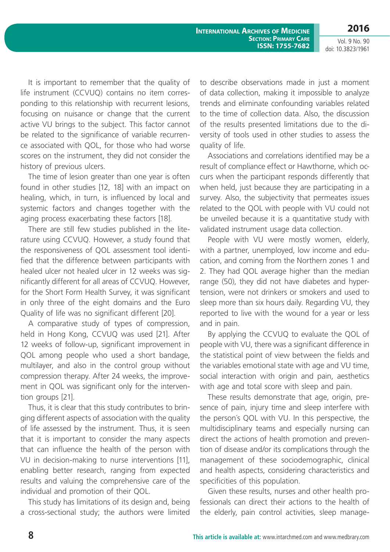Vol. 9 No. 90 doi: 10.3823/1961

**International Archives of Medicine Section: Primary Care ISSN: 1755-7682**

It is important to remember that the quality of life instrument (CCVUQ) contains no item corresponding to this relationship with recurrent lesions, focusing on nuisance or change that the current active VU brings to the subject. This factor cannot be related to the significance of variable recurrence associated with QOL, for those who had worse scores on the instrument, they did not consider the history of previous ulcers.

The time of lesion greater than one year is often found in other studies [12, 18] with an impact on healing, which, in turn, is influenced by local and systemic factors and changes together with the aging process exacerbating these factors [18].

There are still few studies published in the literature using CCVUQ. However, a study found that the responsiveness of QOL assessment tool identified that the difference between participants with healed ulcer not healed ulcer in 12 weeks was significantly different for all areas of CCVUQ. However, for the Short Form Health Survey, it was significant in only three of the eight domains and the Euro Quality of life was no significant different [20].

A comparative study of types of compression, held in Hong Kong, CCVUQ was used [21]. After 12 weeks of follow-up, significant improvement in QOL among people who used a short bandage, multilayer, and also in the control group without compression therapy. After 24 weeks, the improvement in QOL was significant only for the intervention groups [21].

Thus, it is clear that this study contributes to bringing different aspects of association with the quality of life assessed by the instrument. Thus, it is seen that it is important to consider the many aspects that can influence the health of the person with VU in decision-making to nurse interventions [11], enabling better research, ranging from expected results and valuing the comprehensive care of the individual and promotion of their QOL.

This study has limitations of its design and, being a cross-sectional study; the authors were limited to describe observations made in just a moment of data collection, making it impossible to analyze trends and eliminate confounding variables related to the time of collection data. Also, the discussion of the results presented limitations due to the diversity of tools used in other studies to assess the quality of life.

Associations and correlations identified may be a result of compliance effect or Hawthorne, which occurs when the participant responds differently that when held, just because they are participating in a survey. Also, the subjectivity that permeates issues related to the QOL with people with VU could not be unveiled because it is a quantitative study with validated instrument usage data collection.

People with VU were mostly women, elderly, with a partner, unemployed, low income and education, and coming from the Northern zones 1 and 2. They had QOL average higher than the median range (50), they did not have diabetes and hypertension, were not drinkers or smokers and used to sleep more than six hours daily. Regarding VU, they reported to live with the wound for a year or less and in pain.

By applying the CCVUQ to evaluate the QOL of people with VU, there was a significant difference in the statistical point of view between the fields and the variables emotional state with age and VU time, social interaction with origin and pain, aesthetics with age and total score with sleep and pain.

These results demonstrate that age, origin, presence of pain, injury time and sleep interfere with the person´s QOL with VU. In this perspective, the multidisciplinary teams and especially nursing can direct the actions of health promotion and prevention of disease and/or its complications through the management of these sociodemographic, clinical and health aspects, considering characteristics and specificities of this population.

Given these results, nurses and other health professionals can direct their actions to the health of the elderly, pain control activities, sleep manage-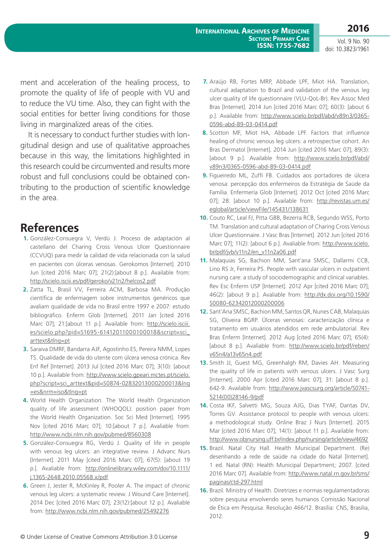Vol. 9 No. 90 doi: 10.3823/1961

ment and acceleration of the healing process, to promote the quality of life of people with VU and to reduce the VU time. Also, they can fight with the social entities for better living conditions for those living in marginalized areas of the cities.

It is necessary to conduct further studies with longitudinal design and use of qualitative approaches because in this way, the limitations highlighted in this research could be circumvented and results more robust and full conclusions could be obtained contributing to the production of scientific knowledge in the area.

#### **References**

- **1.** González-Consuegra V, Verdú J. Proceso de adaptación al castellano del Charing Cross Venous Ulcer Questionnaire (CCVUQ) para medir la calidad de vida relacionada con la salud en pacientes con úlceras venosas. Gerokomos [Internet]. 2010 Jun [cited 2016 Marc 07]; 21(2):[about 8 p.]. Available from: <http://scielo.isciii.es/pdf/geroko/v21n2/helcos2.pdf>
- **2.** Zatta TL, Brasil VV, Ferreira ACM, Barbosa MA. Produção científica de enfermagem sobre instrumentos genéricos que avaliam qualidade de vida no Brasil entre 1997 e 2007: estudo bibliográfico. Enferm Glob [Internet]. 2011 Jan [cited 2016 Marc 07]; 21:[about 11 p.]. Available from: [http://scielo.isciii.](http://scielo.isciii.es/scielo.php?pid=S1695-61412011000100018&script=sci_arttext&tlng=pt) [es/scielo.php?pid=S1695-61412011000100018&script=sci\\_](http://scielo.isciii.es/scielo.php?pid=S1695-61412011000100018&script=sci_arttext&tlng=pt) [arttext&tlng=pt](http://scielo.isciii.es/scielo.php?pid=S1695-61412011000100018&script=sci_arttext&tlng=pt)
- **3.** Saraiva DMRF, Bandarra AJF, Agostinho ES, Pereira NMM, Lopes TS. Qualidade de vida do utente com úlcera venosa crónica. Rev Enf Ref [Internet]. 2013 Jul [cited 2016 Marc 07]; 3(10): [about 10 p.]. Available from: [http://www.scielo.gpeari.mctes.pt/scielo.](http://www.scielo.gpeari.mctes.pt/scielo.php?script=sci_arttext&pid=S0874-02832013000200013&lng=es&nrm=iso&tlng=pt) [php?script=sci\\_arttext&pid=S0874-02832013000200013&lng](http://www.scielo.gpeari.mctes.pt/scielo.php?script=sci_arttext&pid=S0874-02832013000200013&lng=es&nrm=iso&tlng=pt) [=es&nrm=iso&tlng=pt](http://www.scielo.gpeari.mctes.pt/scielo.php?script=sci_arttext&pid=S0874-02832013000200013&lng=es&nrm=iso&tlng=pt)
- **4.** World Health Organization. The World Health Organization quality of life assessment (WHOQOL): position paper from the World Health Organization. Soc Sci Med [Internet]. 1995 Nov [cited 2016 Marc 07]; 10:[about 7 p.]. Avaliable from: <http://www.ncbi.nlm.nih.gov/pubmed/8560308>
- **5.** González-Consuegra RG, Verdú J. Quality of life in people with venous leg ulcers: an integrative review. J Advanc Nurs [Internet]. 2011 May [cited 2016 Marc 07]; 67(5): [about 19 p.]. Avaliable from: [http://onlinelibrary.wiley.com/doi/10.1111/](http://onlinelibrary.wiley.com/doi/10.1111/j.1365-2648.2010.05568.x/pdf) [j.1365-2648.2010.05568.x/pdf](http://onlinelibrary.wiley.com/doi/10.1111/j.1365-2648.2010.05568.x/pdf)
- **6.** Green J, Jester R, McKinley R, Pooler A. The impact of chronic venous leg ulcers: a systematic review. J Wound Care [Internet]. 2014 Dec [cited 2016 Marc 07]; 23(12):[about 12 p.]. Avaliable from:<http://www.ncbi.nlm.nih.gov/pubmed/25492276>
- **7.** Araújo RB, Fortes MRP, Abbade LPF, Miot HA. Translation, cultural adaptation to Brazil and validation of the venous leg ulcer quality of life questionnaire (VLU-QoL-Br). Rev Assoc Med Bras [Internet]. 2014 Jun [cited 2016 Marc 07]; 60(3): [about 6 p.]. Available from: [http://www.scielo.br/pdf/abd/v89n3/0365-](http://www.scielo.br/pdf/abd/v89n3/0365-0596-abd-89-03-0414.pdf) [0596-abd-89-03-0414.pdf](http://www.scielo.br/pdf/abd/v89n3/0365-0596-abd-89-03-0414.pdf)
- **8.** Scotton MF, Miot HA, Abbade LPF. Factors that influence healing of chronic venous leg ulcers: a retrospective cohort. An Bras Dermatol [Internet]. 2014 Jun [cited 2016 Marc 07]; 89(3): [about 9 p.]. Available from: [http://www.scielo.br/pdf/abd/](http://www.scielo.br/pdf/abd/v89n3/0365-0596-abd-89-03-0414.pdf) [v89n3/0365-0596-abd-89-03-0414.pdf](http://www.scielo.br/pdf/abd/v89n3/0365-0596-abd-89-03-0414.pdf)
- **9.** Figueiredo ML, Zuffi FB. Cuidados aos portadores de úlcera venosa: percepção dos enfermeiros da Estratégia de Saúde da Família. Enfermería Glob [Internet]. 2012 Oct [cited 2016 Marc 07]; 28: [about 10 p.]. Available from: [http://revistas.um.es/](http://revistas.um.es/eglobal/article/viewFile/145431/138631) [eglobal/article/viewFile/145431/138631](http://revistas.um.es/eglobal/article/viewFile/145431/138631)
- **10.** Couto RC, Leal FJ, Pitta GBB, Bezerra RCB, Segundo WSS, Porto TM. Translation and cultural adaptation of Charing Cross Venous Ulcer Questionnaire. J Vasc Bras [Internet]. 2012 Jun [cited 2016 Marc 07]; 11(2): [about 6 p.]. Avaliable from: [http://www.scielo.](http://www.scielo.br/pdf/jvb/v11n2/en_v11n2a06.pdf) [br/pdf/jvb/v11n2/en\\_v11n2a06.pdf](http://www.scielo.br/pdf/jvb/v11n2/en_v11n2a06.pdf)
- **11.** Malaquias SG, Bachion MM, Sant'ana SMSC, Dallarmi CCB, Lino RS Jr, Ferreira PS. People with vascular ulcers in outpatient nursing care: a study of sociodemographic and clinical variables. Rev Esc Enferm USP [Internet]. 2012 Apr [cited 2016 Marc 07]; 46(2): [about 9 p.]. Avaliable from: [http://dx.doi.org/10.1590/](http://dx.doi.org/10.1590/S0080-62342012000200006) [S0080-62342012000200006](http://dx.doi.org/10.1590/S0080-62342012000200006)
- **12.** Sant'Ana SMSC, Bachion MM, Santos QR, Nunes CAB, Malaquias SG, Oliveira BGRP. Úlceras venosas: caracterização clínica e tratamento em usuários atendidos em rede ambulatorial. Rev Bras Enferm [Internet]. 2012 Aug [cited 2016 Marc 07]; 65(4): [about 8 p.]. Avaliable from: [http://www.scielo.br/pdf/reben/](http://www.scielo.br/pdf/reben/v65n4/a13v65n4.pdf) [v65n4/a13v65n4.pdf](http://www.scielo.br/pdf/reben/v65n4/a13v65n4.pdf)
- **13.** Smith JJ, Guest MG, Greenhalgh RM, Davies AH. Measuring the quality of life in patients with venous ulcers. J Vasc Surg [Internet]. 2000 Apr [cited 2016 Marc 07]; 31: [about 8 p.]. 642-9. Available from: [http://www.jvascsurg.org/article/S0741-](http://www.jvascsurg.org/article/S0741-5214(00)28146-9/pdf) [5214\(00\)28146-9/pdf](http://www.jvascsurg.org/article/S0741-5214(00)28146-9/pdf)
- **14.** Costa IKF, Salvetti MG, Souza AJG, Dias TYAF, Dantas DV, Torres GV. Assistance protocol to people with venous ulcers: a methodological study. Online Braz J Nurs [Internet]. 2015 Mar [cited 2016 Marc 07]; 14(1): [about 11 p.]. Available from: <http://www.objnursing.uff.br/index.php/nursing/article/view/4692>
- **15.** Brazil. Natal City Hall. Health Municipal Department. (Re) desenhando a rede de saúde na cidade do Natal [Internet]. 1 ed. Natal (RN): Health Municipal Department; 2007. [cited 2016 Marc 07]. Available from: [http://www.natal.rn.gov.br/sms/](http://www.natal.rn.gov.br/sms/paginas/ctd-297.html) [paginas/ctd-297.html](http://www.natal.rn.gov.br/sms/paginas/ctd-297.html)
- **16.** Brazil. Ministry of Health. Diretrizes e normas regulamentadoras sobre pesquisa envolvendo seres humanos Comissão Nacional de Ética em Pesquisa. Resolução 466/12. Brasília: CNS, Brasilia, 2012.